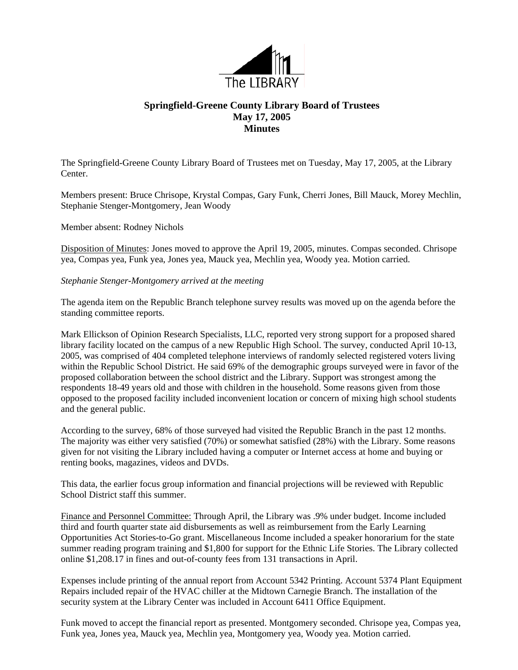

## **Springfield-Greene County Library Board of Trustees May 17, 2005 Minutes**

The Springfield-Greene County Library Board of Trustees met on Tuesday, May 17, 2005, at the Library Center.

Members present: Bruce Chrisope, Krystal Compas, Gary Funk, Cherri Jones, Bill Mauck, Morey Mechlin, Stephanie Stenger-Montgomery, Jean Woody

## Member absent: Rodney Nichols

Disposition of Minutes: Jones moved to approve the April 19, 2005, minutes. Compas seconded. Chrisope yea, Compas yea, Funk yea, Jones yea, Mauck yea, Mechlin yea, Woody yea. Motion carried.

## *Stephanie Stenger-Montgomery arrived at the meeting*

The agenda item on the Republic Branch telephone survey results was moved up on the agenda before the standing committee reports.

Mark Ellickson of Opinion Research Specialists, LLC, reported very strong support for a proposed shared library facility located on the campus of a new Republic High School. The survey, conducted April 10-13, 2005, was comprised of 404 completed telephone interviews of randomly selected registered voters living within the Republic School District. He said 69% of the demographic groups surveyed were in favor of the proposed collaboration between the school district and the Library. Support was strongest among the respondents 18-49 years old and those with children in the household. Some reasons given from those opposed to the proposed facility included inconvenient location or concern of mixing high school students and the general public.

According to the survey, 68% of those surveyed had visited the Republic Branch in the past 12 months. The majority was either very satisfied (70%) or somewhat satisfied (28%) with the Library. Some reasons given for not visiting the Library included having a computer or Internet access at home and buying or renting books, magazines, videos and DVDs.

This data, the earlier focus group information and financial projections will be reviewed with Republic School District staff this summer.

Finance and Personnel Committee: Through April, the Library was .9% under budget. Income included third and fourth quarter state aid disbursements as well as reimbursement from the Early Learning Opportunities Act Stories-to-Go grant. Miscellaneous Income included a speaker honorarium for the state summer reading program training and \$1,800 for support for the Ethnic Life Stories. The Library collected online \$1,208.17 in fines and out-of-county fees from 131 transactions in April.

Expenses include printing of the annual report from Account 5342 Printing. Account 5374 Plant Equipment Repairs included repair of the HVAC chiller at the Midtown Carnegie Branch. The installation of the security system at the Library Center was included in Account 6411 Office Equipment.

Funk moved to accept the financial report as presented. Montgomery seconded. Chrisope yea, Compas yea, Funk yea, Jones yea, Mauck yea, Mechlin yea, Montgomery yea, Woody yea. Motion carried.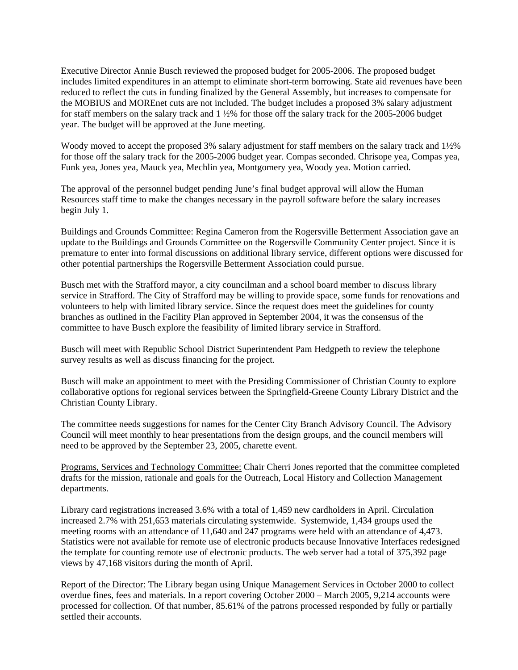Executive Director Annie Busch reviewed the proposed budget for 2005-2006. The proposed budget includes limited expenditures in an attempt to eliminate short-term borrowing. State aid revenues have been reduced to reflect the cuts in funding finalized by the General Assembly, but increases to compensate for the MOBIUS and MOREnet cuts are not included. The budget includes a proposed 3% salary adjustment for staff members on the salary track and 1 ½% for those off the salary track for the 2005-2006 budget year. The budget will be approved at the June meeting.

Woody moved to accept the proposed 3% salary adjustment for staff members on the salary track and 1½% for those off the salary track for the 2005-2006 budget year. Compas seconded. Chrisope yea, Compas yea, Funk yea, Jones yea, Mauck yea, Mechlin yea, Montgomery yea, Woody yea. Motion carried.

The approval of the personnel budget pending June's final budget approval will allow the Human Resources staff time to make the changes necessary in the payroll software before the salary increases begin July 1.

Buildings and Grounds Committee: Regina Cameron from the Rogersville Betterment Association gave an pdate to the Buildings and Grounds Committee on the Rogersville Community Center project. Since it is u premature to enter into formal discussions on additional library service, different options were discussed for other potential partnerships the Rogersville Betterment Association could pursue.

Busch met with the Strafford mayor, a city councilman and a school board member to discuss library service in Strafford. The City of Strafford may be willing to provide space, some funds for renovations and volunteers to help with limited library service. Since the request does meet the guidelines for county branches as outlined in the Facility Plan approved in September 2004, it was the consensus of the committee to have Busch explore the feasibility of limited library service in Strafford.

Busch will meet with Republic School District Superintendent Pam Hedgpeth to review the telephone survey results as well as discuss financing for the project.

Busch will make an appointment to meet with the Presiding Commissioner of Christian County to explore collaborative options for regional services between the Springfield-Greene County Library District and the Christian County Library.

The committee needs suggestions for names for the Center City Branch Advisory Council. The Advisory Council will meet monthly to hear presentations from the design groups, and the council members will need to be approved by the September 23, 2005, charette event.

Programs, Services and Technology Committee: Chair Cherri Jones reported that the committee completed drafts for the mission, rationale and goals for the Outreach, Local History and Collection Management departments.

Library card registrations increased 3.6% with a total of 1,459 new cardholders in April. Circulation increased 2.7% with 251,653 materials circulating systemwide. Systemwide, 1,434 groups used the meeting rooms with an attendance of 11,640 and 247 programs were held with an attendance of 4,473. Statistics were not available for remote use of electronic products because Innovative Interfaces redesigned the template for counting remote use of electronic products. The web server had a total of 375,392 page views by 47,168 visitors during the month of April.

Report of the Director: The Library began using Unique Management Services in October 2000 to collect overdue fines, fees and materials. In a report covering October 2000 – March 2005, 9,214 accounts were processed for collection. Of that number, 85.61% of the patrons processed responded by fully or partially settled their accounts.